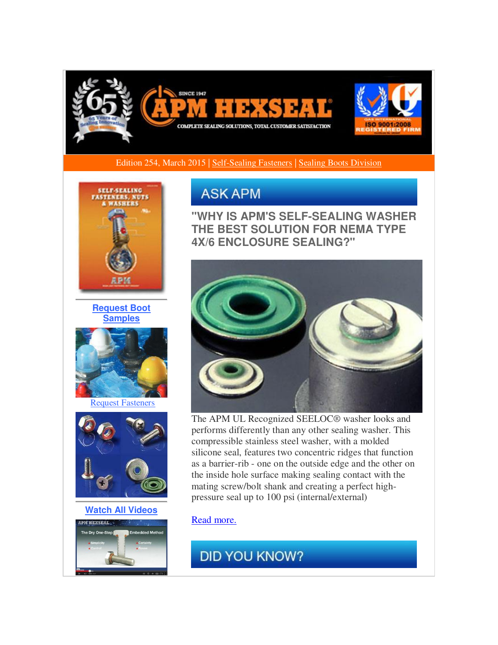

Edition 254, March 2015 | [Self-Sealing Fasteners](http://r20.rs6.net/tn.jsp?f=001Vqwkbo0k-oVx2eCf080eGTNFDWnIxJTmE1AeFbHj2FKdR9P7ysjQajZy-2B-A0EGu8UBv60MgsudY2s2rnbTDJo7CLKFq1m3Avkthep3w80IW9dGZCSf5j4kYfdGC19G2hlCoExHMcPreO83NeGSG5K3dKnzoLNsmB5I-CpXyhrCnT5oke00hHmAQegorw7IKz4a4hrC_TPq5lgCnZu1fEnBChLfSNoFmQ1DdIUx-HAO0ZNXmY71hsulM5oSMxmMChKO7VvCIsdtz7TNdVyRTRyVCx2RPDS1ShcitSSgzBpNetTT-Lm43g==&c=V1BonZltWk5VwW55UkxACeGQvUvLOWEu6X5Ipb_K95LKaJEGbagBlQ==&ch=id1GmjXU3w-AcFev01NoRUXCZaSwWQ7U9S0prcm9kAD5LzppCXrJQg==) | [Sealing Boots Division](http://r20.rs6.net/tn.jsp?f=001Vqwkbo0k-oVx2eCf080eGTNFDWnIxJTmE1AeFbHj2FKdR9P7ysjQajZy-2B-A0EGiY0z3Jo21zZ9LNLC1Ko7pXFY2OUBBXqo9EyUPJcbec8qbZ1vpWHNI3hxVqMp9uEkO955iLsznWIdmsetaF-sJ_UANuOZciVXY5tcQKFnaX2t20YrjHDFi0ChaLewyxb65F9gefYYSEtw_FuLZatjM8zeuGdTZZ-vA_6RdjRyrIg5VtmnuOC6_wVIhtsgevG9vdIaNINeeB1jWmNONNhn5tCY2UxoSAxp9eQJbobuFsc=&c=V1BonZltWk5VwW55UkxACeGQvUvLOWEu6X5Ipb_K95LKaJEGbagBlQ==&ch=id1GmjXU3w-AcFev01NoRUXCZaSwWQ7U9S0prcm9kAD5LzppCXrJQg==) 



**[Request Boot](http://r20.rs6.net/tn.jsp?f=001Vqwkbo0k-oVx2eCf080eGTNFDWnIxJTmE1AeFbHj2FKdR9P7ysjQajZy-2B-A0EG9PjPbBa6r3oZ_ZMQdrwKsmVQydXYTD5XS-sd5LswNuhX4qx6ETSObw53ZQq_qlvXm9YH70jilWX8JOYRFxjWbGmfCkkS5E7OvqPyya3_KXNvhcTJ4ZY4_z5716SYzdchjHWylN7KjAjyoLePW7ktcomN7C9jfmrG5lv5zPa-mJQslsIuo81VnVmZPmcYCrFM5UlZNAECAMmpLfypxxE_TV4YlNCX6PSIAoiueSJ7p8pKK4i56_t9EaqdnZHd5Y2K&c=V1BonZltWk5VwW55UkxACeGQvUvLOWEu6X5Ipb_K95LKaJEGbagBlQ==&ch=id1GmjXU3w-AcFev01NoRUXCZaSwWQ7U9S0prcm9kAD5LzppCXrJQg==)  [Samples](http://r20.rs6.net/tn.jsp?f=001Vqwkbo0k-oVx2eCf080eGTNFDWnIxJTmE1AeFbHj2FKdR9P7ysjQajZy-2B-A0EG9PjPbBa6r3oZ_ZMQdrwKsmVQydXYTD5XS-sd5LswNuhX4qx6ETSObw53ZQq_qlvXm9YH70jilWX8JOYRFxjWbGmfCkkS5E7OvqPyya3_KXNvhcTJ4ZY4_z5716SYzdchjHWylN7KjAjyoLePW7ktcomN7C9jfmrG5lv5zPa-mJQslsIuo81VnVmZPmcYCrFM5UlZNAECAMmpLfypxxE_TV4YlNCX6PSIAoiueSJ7p8pKK4i56_t9EaqdnZHd5Y2K&c=V1BonZltWk5VwW55UkxACeGQvUvLOWEu6X5Ipb_K95LKaJEGbagBlQ==&ch=id1GmjXU3w-AcFev01NoRUXCZaSwWQ7U9S0prcm9kAD5LzppCXrJQg==)**



[Request Fasteners](http://r20.rs6.net/tn.jsp?f=001Vqwkbo0k-oVx2eCf080eGTNFDWnIxJTmE1AeFbHj2FKdR9P7ysjQajZy-2B-A0EGukcK8Pb4KWwDLHg5UuiT-JHmnLuEl7e0Z1zuI7n5tjFmuzXglB_CaJMWsdWjDVnzd9nrFzSpRi20GYIr6jCI9J3M0Sn21IbO4JlLgI_GUff9guqi1vj-Qh-hpAsWin-nWBeof1h6ReAfXdT1_YfR347Bma1-hND8myt09aK9RrhgAYYeBcB7aUmikKpA2quo4MH1s9lWxhuHwqM6Bug8A1NFpve_OeWTwjdydsgeTDGdBZHqUYu9iw==&c=V1BonZltWk5VwW55UkxACeGQvUvLOWEu6X5Ipb_K95LKaJEGbagBlQ==&ch=id1GmjXU3w-AcFev01NoRUXCZaSwWQ7U9S0prcm9kAD5LzppCXrJQg==)



**[Watch All Videos](http://r20.rs6.net/tn.jsp?f=001Vqwkbo0k-oVx2eCf080eGTNFDWnIxJTmE1AeFbHj2FKdR9P7ysjQajZy-2B-A0EGjJIKyOShjFV1119P4-72n5Rw-qUg-GodyWiIEZQEHtVHt9nApwuUGewrzwUyjvI2ds33sIT1bzZQfyrEi9_k25lrT5zXqXHByHw8AjLi4iWexUtijxuWscVzuARd0VxdTwhLcr6ja-TuyTCPxgXA0y-TtRoDqUl3sTAfmzDqnyudFKZLVyOS6cKvuE88LDffasxtaStaD0c6-dJjx5NEZPq7qL2lHaZG&c=V1BonZltWk5VwW55UkxACeGQvUvLOWEu6X5Ipb_K95LKaJEGbagBlQ==&ch=id1GmjXU3w-AcFev01NoRUXCZaSwWQ7U9S0prcm9kAD5LzppCXrJQg==)**



# **ASK APM**

 $\overline{a}$ 

**"WHY IS APM'S SELF-SEALING WASHER THE BEST SOLUTION FOR NEMA TYPE 4X/6 ENCLOSURE SEALING?"**



The APM UL Recognized SEELOC® washer looks and performs differently than any other sealing washer. This compressible stainless steel washer, with a molded silicone seal, features two concentric ridges that function as a barrier-rib - one on the outside edge and the other on the inside hole surface making sealing contact with the mating screw/bolt shank and creating a perfect highpressure seal up to 100 psi (internal/external)

### [Read more.](http://r20.rs6.net/tn.jsp?f=001Vqwkbo0k-oVx2eCf080eGTNFDWnIxJTmE1AeFbHj2FKdR9P7ysjQakYe2P2mDs8lCmDCVx9OsKsQvyxbkBzE3iGWyOaLxIlZ-eRPrwpVHkJPTtEhQnMBOuWB6nWXfe5qC7tlh9HcBbkBAQGELsWl1I7Ml8ac_8ARVbDWGeH5ajp_-UJTALesl59G_L3J2OurtP9RecWX2w6BXy48aXDcCGv6dEhqli8rlvj0heJKqMtXdp57wQMaUYz8vu_04k1ZVIDGGlR5ACardziU29-MILCCxI9FrnFG1DLUBhuXk0_NuULGQj3mcS4z1cA3d8MLJef_K0eWT3lNI1DtnUbO8vZlBN5neKyO&c=V1BonZltWk5VwW55UkxACeGQvUvLOWEu6X5Ipb_K95LKaJEGbagBlQ==&ch=id1GmjXU3w-AcFev01NoRUXCZaSwWQ7U9S0prcm9kAD5LzppCXrJQg==)

# **DID YOU KNOW?**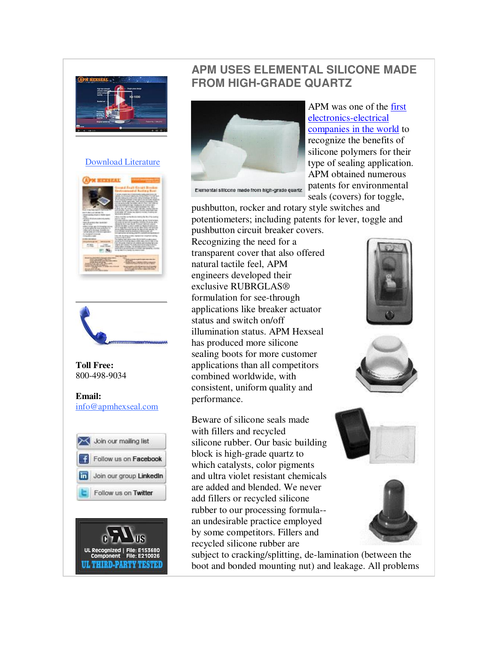

#### [Download Literature](http://r20.rs6.net/tn.jsp?f=001Vqwkbo0k-oVx2eCf080eGTNFDWnIxJTmE1AeFbHj2FKdR9P7ysjQajZy-2B-A0EG3iGQgojgLfM5k-oulhQsealsMMKuGMtMOlS_10CKHU3Z-PxaIZbwl5SY7D5L_KS-gC9hyXv_jZS8fSQznay3osyaCMxrkJmYGA_b4h_jJ7MWC3zAML8hOYCQIW7ZyWnzpCNVgfwPGXP3xwwBEL3ztHnHKUDULkbhxdAgbWlzVDeJC_qo9F4lfBxFXE8_4nK1ZplUOjwcXqSyfiGMMMy-egfGqQ99Rvxo&c=V1BonZltWk5VwW55UkxACeGQvUvLOWEu6X5Ipb_K95LKaJEGbagBlQ==&ch=id1GmjXU3w-AcFev01NoRUXCZaSwWQ7U9S0prcm9kAD5LzppCXrJQg==)





#### **Toll Free:**  800-498-9034

**Email:** [info@apmhexseal.com](mailto:info@apmhexseal.com)





## **APM USES ELEMENTAL SILICONE MADE FROM HIGH-GRADE QUARTZ**



Elemental silicone made from high-grade quartz

APM was one of the [first](http://r20.rs6.net/tn.jsp?f=001Vqwkbo0k-oVx2eCf080eGTNFDWnIxJTmE1AeFbHj2FKdR9P7ysjQandLS1QovkDkiCxr7rr4KToH3QW255RdYIC_P6m2U6Z2LutJ-3VOMIWFbIFY9T8wcvWbW3GAqyJ024AQG8-0fXbY25B8M8KS0sg0OC-fiCzCearsal516lSSlvSBbyjcpgKGqABkWXb1ODdA3oC0dI9mR2IfqOI84kCEKBuMPC6CWs2MXubfCCpWl5BJpTstGmcrNjlMsD5kMsR3FYZzZdgHZ_VWhAkTqFHpcGz20UewFh4orgQr5dR1Rli-kfiVZElVXwduY6H1gUlEEJ5ZM_caJBO-ZyYDkokqr0UmYB8DbVstlBs8BSktS0CbX1pmrQ==&c=V1BonZltWk5VwW55UkxACeGQvUvLOWEu6X5Ipb_K95LKaJEGbagBlQ==&ch=id1GmjXU3w-AcFev01NoRUXCZaSwWQ7U9S0prcm9kAD5LzppCXrJQg==)  [electronics-electrical](http://r20.rs6.net/tn.jsp?f=001Vqwkbo0k-oVx2eCf080eGTNFDWnIxJTmE1AeFbHj2FKdR9P7ysjQandLS1QovkDkiCxr7rr4KToH3QW255RdYIC_P6m2U6Z2LutJ-3VOMIWFbIFY9T8wcvWbW3GAqyJ024AQG8-0fXbY25B8M8KS0sg0OC-fiCzCearsal516lSSlvSBbyjcpgKGqABkWXb1ODdA3oC0dI9mR2IfqOI84kCEKBuMPC6CWs2MXubfCCpWl5BJpTstGmcrNjlMsD5kMsR3FYZzZdgHZ_VWhAkTqFHpcGz20UewFh4orgQr5dR1Rli-kfiVZElVXwduY6H1gUlEEJ5ZM_caJBO-ZyYDkokqr0UmYB8DbVstlBs8BSktS0CbX1pmrQ==&c=V1BonZltWk5VwW55UkxACeGQvUvLOWEu6X5Ipb_K95LKaJEGbagBlQ==&ch=id1GmjXU3w-AcFev01NoRUXCZaSwWQ7U9S0prcm9kAD5LzppCXrJQg==)  [companies in the world](http://r20.rs6.net/tn.jsp?f=001Vqwkbo0k-oVx2eCf080eGTNFDWnIxJTmE1AeFbHj2FKdR9P7ysjQandLS1QovkDkiCxr7rr4KToH3QW255RdYIC_P6m2U6Z2LutJ-3VOMIWFbIFY9T8wcvWbW3GAqyJ024AQG8-0fXbY25B8M8KS0sg0OC-fiCzCearsal516lSSlvSBbyjcpgKGqABkWXb1ODdA3oC0dI9mR2IfqOI84kCEKBuMPC6CWs2MXubfCCpWl5BJpTstGmcrNjlMsD5kMsR3FYZzZdgHZ_VWhAkTqFHpcGz20UewFh4orgQr5dR1Rli-kfiVZElVXwduY6H1gUlEEJ5ZM_caJBO-ZyYDkokqr0UmYB8DbVstlBs8BSktS0CbX1pmrQ==&c=V1BonZltWk5VwW55UkxACeGQvUvLOWEu6X5Ipb_K95LKaJEGbagBlQ==&ch=id1GmjXU3w-AcFev01NoRUXCZaSwWQ7U9S0prcm9kAD5LzppCXrJQg==) to recognize the benefits of silicone polymers for their type of sealing application. APM obtained numerous patents for environmental seals (covers) for toggle,

pushbutton, rocker and rotary style switches and potentiometers; including patents for lever, toggle and pushbutton circuit breaker covers.

Recognizing the need for a transparent cover that also offered natural tactile feel, APM engineers developed their exclusive RUBRGLAS® formulation for see-through applications like breaker actuator status and switch on/off illumination status. APM Hexseal has produced more silicone sealing boots for more customer applications than all competitors combined worldwide, with consistent, uniform quality and performance.

Beware of silicone seals made with fillers and recycled silicone rubber. Our basic building block is high-grade quartz to which catalysts, color pigments and ultra violet resistant chemicals are added and blended. We never add fillers or recycled silicone rubber to our processing formula- an undesirable practice employed by some competitors. Fillers and recycled silicone rubber are

subject to cracking/splitting, de-lamination (between the boot and bonded mounting nut) and leakage. All problems